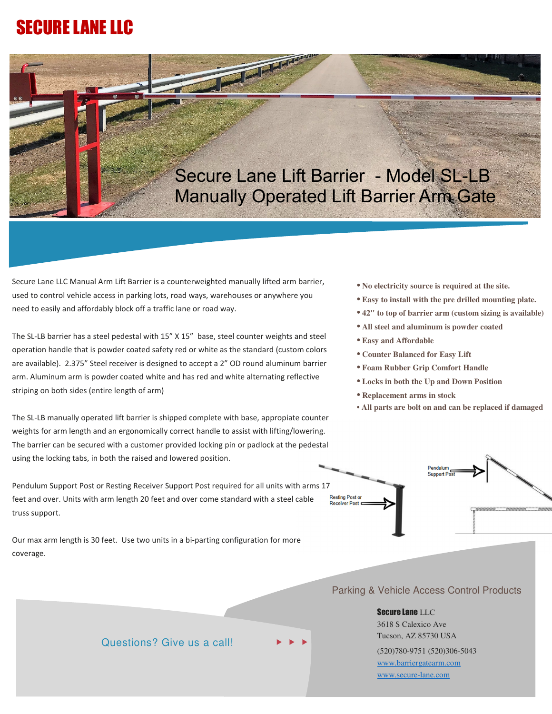## SECURE LANE LLC



and the local division in the local division in the contract of the contract of the contract of the contract of the contract of the contract of the contract of the contract of the contract of the contract of the contract o

Secure Lane LLC Manual Arm Lift Barrier is a counterweighted manually lifted arm barrier, used to control vehicle access in parking lots, road ways, warehouses or anywhere you need to easily and affordably block off a traffic lane or road way.

The SL-LB barrier has a steel pedestal with 15" X 15" base, steel counter weights and steel operation handle that is powder coated safety red or white as the standard (custom colors are available). 2.375" Steel receiver is designed to accept a 2" OD round aluminum barrier arm. Aluminum arm is powder coated white and has red and white alternating reflective striping on both sides (entire length of arm)

The SL-LB manually operated lift barrier is shipped complete with base, appropiate counter weights for arm length and an ergonomically correct handle to assist with lifting/lowering. The barrier can be secured with a customer provided locking pin or padlock at the pedestal using the locking tabs, in both the raised and lowered position.

Pendulum Support Post or Resting Receiver Support Post required for all units with arms 17 Resting Post or<br>Receiver Post feet and over. Units with arm length 20 feet and over come standard with a steel cable truss support.

Our max arm length is 30 feet. Use two units in a bi-parting configuration for more coverage.

- **• No electricity source is required at the site.**
- **• Easy to install with the pre drilled mounting plate.**
- **• 42" to top of barrier arm (custom sizing is available)**
- **• All steel and aluminum is powder coated**
- **• Easy and Affordable**
- **• Counter Balanced for Easy Lift**
- **• Foam Rubber Grip Comfort Handle**
- **• Locks in both the Up and Down Position**
- **• Replacement arms in stock**
- **All parts are bolt on and can be replaced if damaged**

Pendulum



Secure Lane LLC 3618 S Calexico Ave Tucson, AZ 85730 USA (520)780-9751 (520)306-5043 www.barriergatearm.com www.secure-lane.com

## Questions? Give us a call!